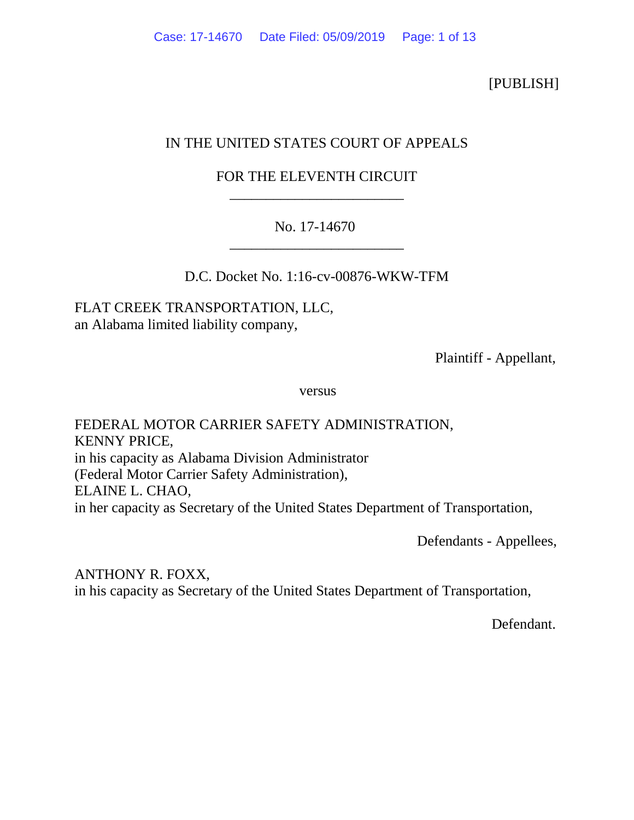[PUBLISH]

# IN THE UNITED STATES COURT OF APPEALS

# FOR THE ELEVENTH CIRCUIT \_\_\_\_\_\_\_\_\_\_\_\_\_\_\_\_\_\_\_\_\_\_\_\_

## No. 17-14670 \_\_\_\_\_\_\_\_\_\_\_\_\_\_\_\_\_\_\_\_\_\_\_\_

D.C. Docket No. 1:16-cv-00876-WKW-TFM

FLAT CREEK TRANSPORTATION, LLC, an Alabama limited liability company,

Plaintiff - Appellant,

versus

FEDERAL MOTOR CARRIER SAFETY ADMINISTRATION, KENNY PRICE, in his capacity as Alabama Division Administrator (Federal Motor Carrier Safety Administration), ELAINE L. CHAO, in her capacity as Secretary of the United States Department of Transportation,

Defendants - Appellees,

ANTHONY R. FOXX, in his capacity as Secretary of the United States Department of Transportation,

Defendant.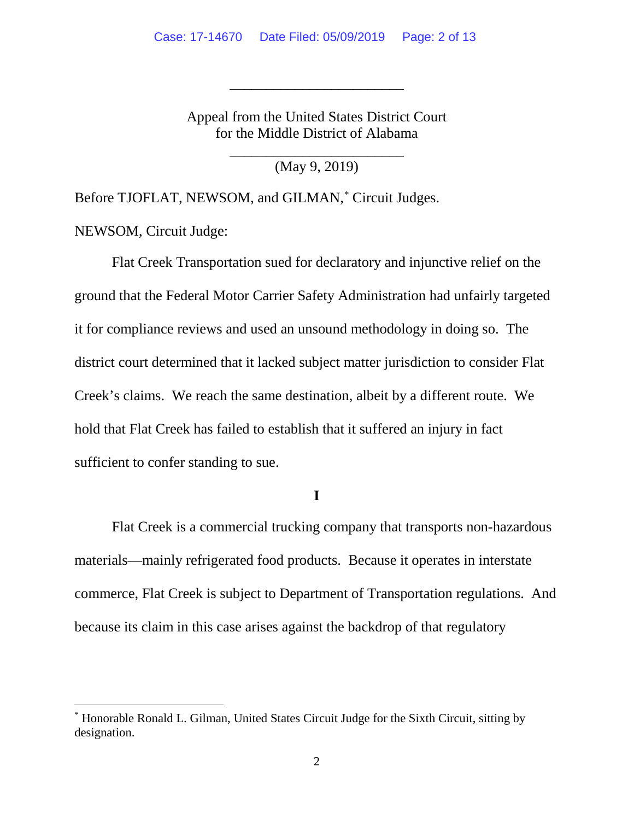Appeal from the United States District Court for the Middle District of Alabama

\_\_\_\_\_\_\_\_\_\_\_\_\_\_\_\_\_\_\_\_\_\_\_\_

\_\_\_\_\_\_\_\_\_\_\_\_\_\_\_\_\_\_\_\_\_\_\_\_ (May 9, 2019)

Before TJOFLAT, NEWSOM, and GILMAN, [\\*](#page-1-0) Circuit Judges.

NEWSOM, Circuit Judge:

Flat Creek Transportation sued for declaratory and injunctive relief on the ground that the Federal Motor Carrier Safety Administration had unfairly targeted it for compliance reviews and used an unsound methodology in doing so. The district court determined that it lacked subject matter jurisdiction to consider Flat Creek's claims. We reach the same destination, albeit by a different route. We hold that Flat Creek has failed to establish that it suffered an injury in fact sufficient to confer standing to sue.

**I**

Flat Creek is a commercial trucking company that transports non-hazardous materials—mainly refrigerated food products. Because it operates in interstate commerce, Flat Creek is subject to Department of Transportation regulations. And because its claim in this case arises against the backdrop of that regulatory

<span id="page-1-0"></span> <sup>\*</sup> Honorable Ronald L. Gilman, United States Circuit Judge for the Sixth Circuit, sitting by designation.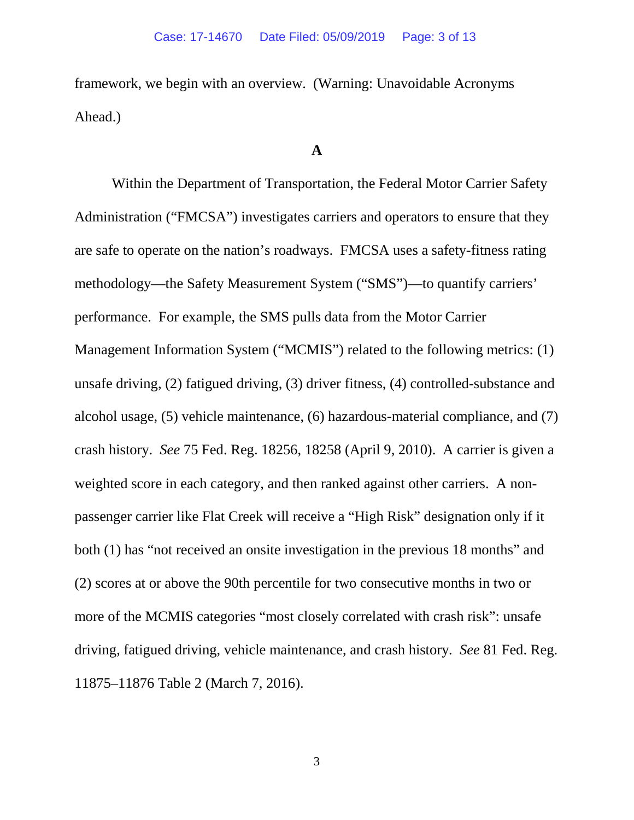framework, we begin with an overview. (Warning: Unavoidable Acronyms Ahead.)

#### **A**

Within the Department of Transportation, the Federal Motor Carrier Safety Administration ("FMCSA") investigates carriers and operators to ensure that they are safe to operate on the nation's roadways. FMCSA uses a safety-fitness rating methodology—the Safety Measurement System ("SMS")—to quantify carriers' performance. For example, the SMS pulls data from the Motor Carrier Management Information System ("MCMIS") related to the following metrics: (1) unsafe driving, (2) fatigued driving, (3) driver fitness, (4) controlled-substance and alcohol usage, (5) vehicle maintenance, (6) hazardous-material compliance, and (7) crash history. *See* 75 Fed. Reg. 18256, 18258 (April 9, 2010). A carrier is given a weighted score in each category, and then ranked against other carriers. A nonpassenger carrier like Flat Creek will receive a "High Risk" designation only if it both (1) has "not received an onsite investigation in the previous 18 months" and (2) scores at or above the 90th percentile for two consecutive months in two or more of the MCMIS categories "most closely correlated with crash risk": unsafe driving, fatigued driving, vehicle maintenance, and crash history. *See* 81 Fed. Reg. 11875–11876 Table 2 (March 7, 2016).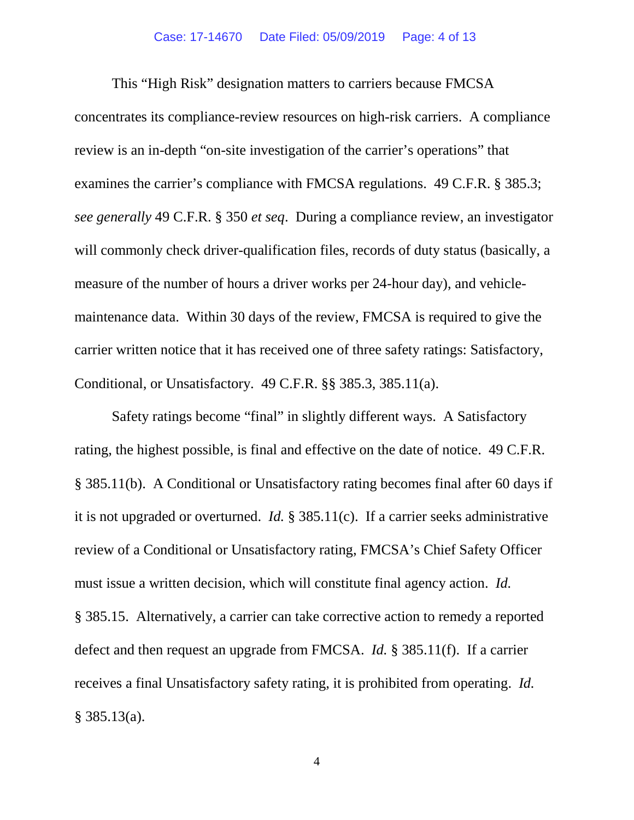This "High Risk" designation matters to carriers because FMCSA concentrates its compliance-review resources on high-risk carriers. A compliance review is an in-depth "on-site investigation of the carrier's operations" that examines the carrier's compliance with FMCSA regulations. 49 C.F.R. § 385.3; *see generally* 49 C.F.R. § 350 *et seq*. During a compliance review, an investigator will commonly check driver-qualification files, records of duty status (basically, a measure of the number of hours a driver works per 24-hour day), and vehiclemaintenance data. Within 30 days of the review, FMCSA is required to give the carrier written notice that it has received one of three safety ratings: Satisfactory, Conditional, or Unsatisfactory. 49 C.F.R. §§ 385.3, 385.11(a).

Safety ratings become "final" in slightly different ways. A Satisfactory rating, the highest possible, is final and effective on the date of notice. 49 C.F.R. § 385.11(b). A Conditional or Unsatisfactory rating becomes final after 60 days if it is not upgraded or overturned. *Id.* § 385.11(c). If a carrier seeks administrative review of a Conditional or Unsatisfactory rating, FMCSA's Chief Safety Officer must issue a written decision, which will constitute final agency action. *Id.* § 385.15. Alternatively, a carrier can take corrective action to remedy a reported defect and then request an upgrade from FMCSA. *Id.* § 385.11(f). If a carrier receives a final Unsatisfactory safety rating, it is prohibited from operating. *Id.*  $§$  385.13(a).

4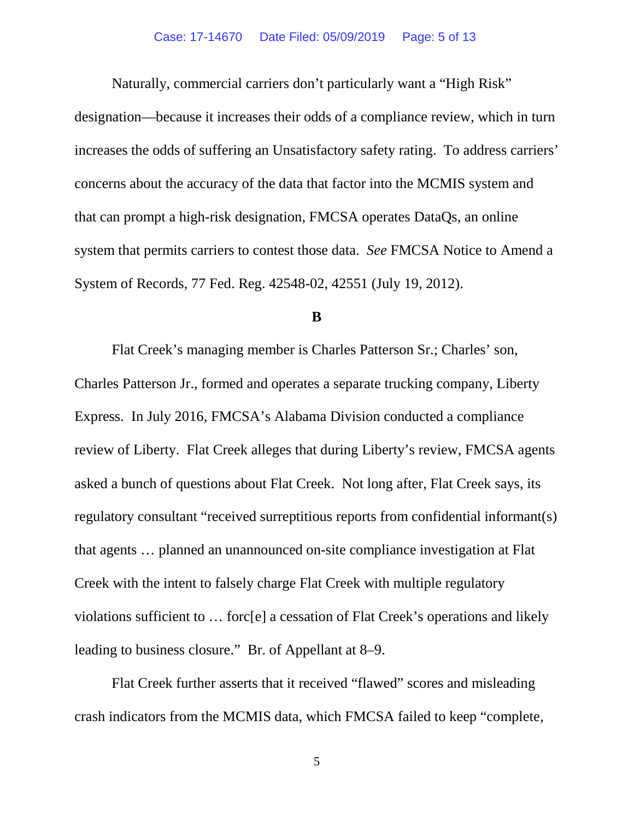Naturally, commercial carriers don't particularly want a "High Risk" designation—because it increases their odds of a compliance review, which in turn increases the odds of suffering an Unsatisfactory safety rating. To address carriers' concerns about the accuracy of the data that factor into the MCMIS system and that can prompt a high-risk designation, FMCSA operates DataQs, an online system that permits carriers to contest those data. *See* FMCSA Notice to Amend a System of Records, 77 Fed. Reg. 42548-02, 42551 (July 19, 2012).

#### **B**

Flat Creek's managing member is Charles Patterson Sr.; Charles' son, Charles Patterson Jr., formed and operates a separate trucking company, Liberty Express. In July 2016, FMCSA's Alabama Division conducted a compliance review of Liberty. Flat Creek alleges that during Liberty's review, FMCSA agents asked a bunch of questions about Flat Creek. Not long after, Flat Creek says, its regulatory consultant "received surreptitious reports from confidential informant(s) that agents … planned an unannounced on-site compliance investigation at Flat Creek with the intent to falsely charge Flat Creek with multiple regulatory violations sufficient to … forc[e] a cessation of Flat Creek's operations and likely leading to business closure." Br. of Appellant at 8–9.

Flat Creek further asserts that it received "flawed" scores and misleading crash indicators from the MCMIS data, which FMCSA failed to keep "complete,

5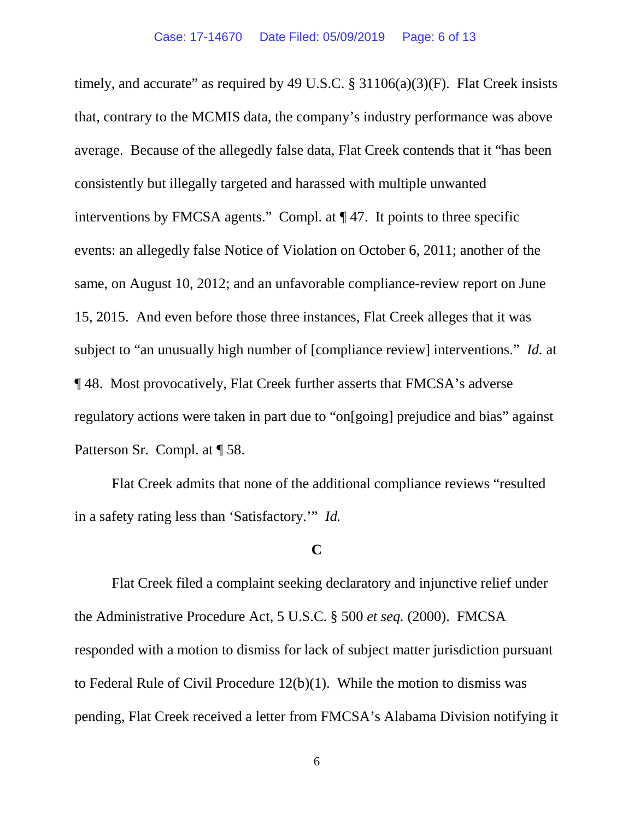timely, and accurate" as required by 49 U.S.C.  $\S 31106(a)(3)(F)$ . Flat Creek insists that, contrary to the MCMIS data, the company's industry performance was above average. Because of the allegedly false data, Flat Creek contends that it "has been consistently but illegally targeted and harassed with multiple unwanted interventions by FMCSA agents." Compl. at ¶ 47. It points to three specific events: an allegedly false Notice of Violation on October 6, 2011; another of the same, on August 10, 2012; and an unfavorable compliance-review report on June 15, 2015. And even before those three instances, Flat Creek alleges that it was subject to "an unusually high number of [compliance review] interventions." *Id.* at ¶ 48. Most provocatively, Flat Creek further asserts that FMCSA's adverse regulatory actions were taken in part due to "on[going] prejudice and bias" against Patterson Sr. Compl. at ¶ 58.

Flat Creek admits that none of the additional compliance reviews "resulted in a safety rating less than 'Satisfactory.'" *Id.*

### **C**

Flat Creek filed a complaint seeking declaratory and injunctive relief under the Administrative Procedure Act, 5 U.S.C. § 500 *et seq.* (2000). FMCSA responded with a motion to dismiss for lack of subject matter jurisdiction pursuant to Federal Rule of Civil Procedure 12(b)(1). While the motion to dismiss was pending, Flat Creek received a letter from FMCSA's Alabama Division notifying it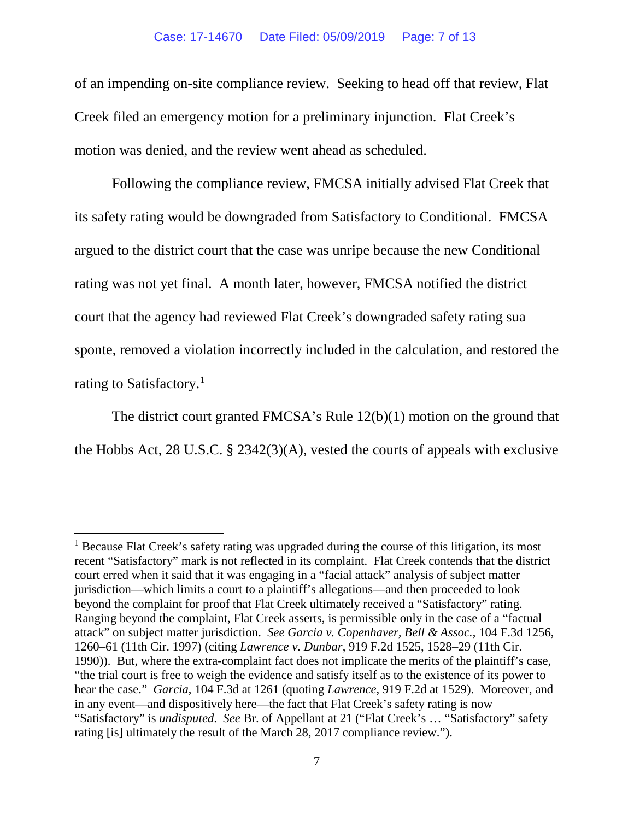of an impending on-site compliance review. Seeking to head off that review, Flat Creek filed an emergency motion for a preliminary injunction. Flat Creek's motion was denied, and the review went ahead as scheduled.

Following the compliance review, FMCSA initially advised Flat Creek that its safety rating would be downgraded from Satisfactory to Conditional. FMCSA argued to the district court that the case was unripe because the new Conditional rating was not yet final. A month later, however, FMCSA notified the district court that the agency had reviewed Flat Creek's downgraded safety rating sua sponte, removed a violation incorrectly included in the calculation, and restored the rating to Satisfactory.<sup>[1](#page-6-0)</sup>

The district court granted FMCSA's Rule 12(b)(1) motion on the ground that the Hobbs Act, 28 U.S.C. § 2342(3)(A), vested the courts of appeals with exclusive

<span id="page-6-0"></span> $<sup>1</sup>$  Because Flat Creek's safety rating was upgraded during the course of this litigation, its most</sup> recent "Satisfactory" mark is not reflected in its complaint. Flat Creek contends that the district court erred when it said that it was engaging in a "facial attack" analysis of subject matter jurisdiction—which limits a court to a plaintiff's allegations—and then proceeded to look beyond the complaint for proof that Flat Creek ultimately received a "Satisfactory" rating. Ranging beyond the complaint, Flat Creek asserts, is permissible only in the case of a "factual attack" on subject matter jurisdiction. *See Garcia v. Copenhaver, Bell & Assoc.*, 104 F.3d 1256, 1260–61 (11th Cir. 1997) (citing *Lawrence v. Dunbar*, 919 F.2d 1525, 1528–29 (11th Cir. 1990)). But, where the extra-complaint fact does not implicate the merits of the plaintiff's case, "the trial court is free to weigh the evidence and satisfy itself as to the existence of its power to hear the case." *Garcia*, 104 F.3d at 1261 (quoting *Lawrence*, 919 F.2d at 1529). Moreover, and in any event—and dispositively here—the fact that Flat Creek's safety rating is now "Satisfactory" is *undisputed*. *See* Br. of Appellant at 21 ("Flat Creek's … "Satisfactory" safety rating [is] ultimately the result of the March 28, 2017 compliance review.").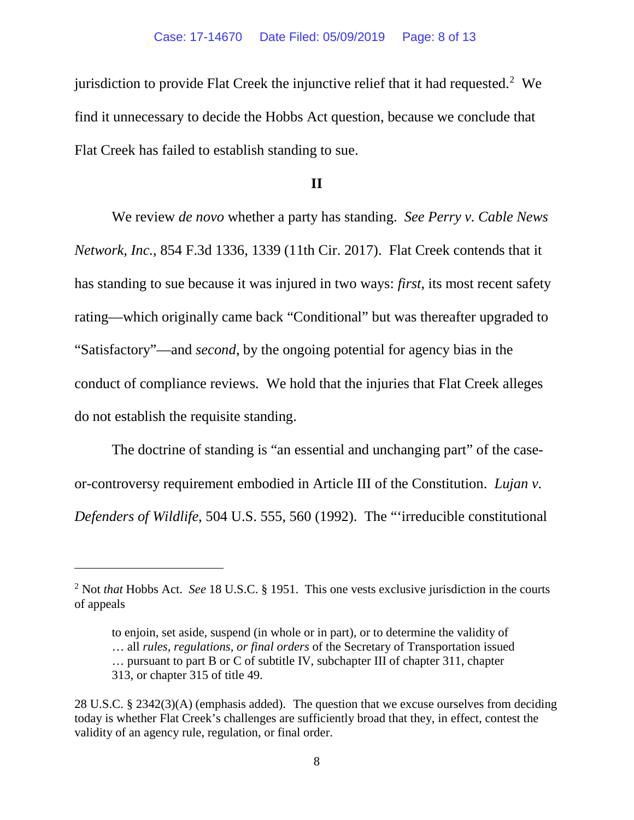jurisdiction to provide Flat Creek the injunctive relief that it had requested.<sup>[2](#page-7-0)</sup> We find it unnecessary to decide the Hobbs Act question, because we conclude that Flat Creek has failed to establish standing to sue.

### **II**

We review *de novo* whether a party has standing. *See Perry v. Cable News Network, Inc.*, 854 F.3d 1336, 1339 (11th Cir. 2017). Flat Creek contends that it has standing to sue because it was injured in two ways: *first*, its most recent safety rating—which originally came back "Conditional" but was thereafter upgraded to "Satisfactory"—and *second*, by the ongoing potential for agency bias in the conduct of compliance reviews. We hold that the injuries that Flat Creek alleges do not establish the requisite standing.

The doctrine of standing is "an essential and unchanging part" of the caseor-controversy requirement embodied in Article III of the Constitution. *Lujan v. Defenders of Wildlife*, 504 U.S. 555, 560 (1992). The "'irreducible constitutional

 $\overline{a}$ 

<span id="page-7-0"></span><sup>2</sup> Not *that* Hobbs Act. *See* 18 U.S.C. § 1951. This one vests exclusive jurisdiction in the courts of appeals

to enjoin, set aside, suspend (in whole or in part), or to determine the validity of … all *rules, regulations, or final orders* of the Secretary of Transportation issued … pursuant to part B or C of subtitle IV, subchapter III of chapter 311, chapter 313, or chapter 315 of title 49.

<sup>28</sup> U.S.C. § 2342(3)(A) (emphasis added). The question that we excuse ourselves from deciding today is whether Flat Creek's challenges are sufficiently broad that they, in effect, contest the validity of an agency rule, regulation, or final order.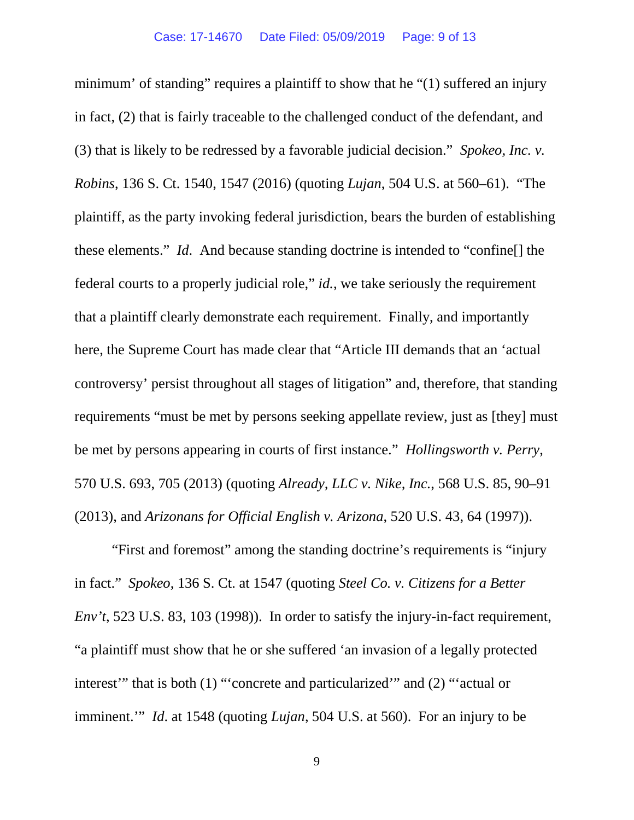minimum' of standing" requires a plaintiff to show that he "(1) suffered an injury in fact, (2) that is fairly traceable to the challenged conduct of the defendant, and (3) that is likely to be redressed by a favorable judicial decision." *Spokeo, Inc. v. Robins*, 136 S. Ct. 1540, 1547 (2016) (quoting *Lujan*, 504 U.S. at 560–61). "The plaintiff, as the party invoking federal jurisdiction, bears the burden of establishing these elements." *Id*. And because standing doctrine is intended to "confine[] the federal courts to a properly judicial role," *id.*, we take seriously the requirement that a plaintiff clearly demonstrate each requirement. Finally, and importantly here, the Supreme Court has made clear that "Article III demands that an 'actual controversy' persist throughout all stages of litigation" and, therefore, that standing requirements "must be met by persons seeking appellate review, just as [they] must be met by persons appearing in courts of first instance." *Hollingsworth v. Perry*, 570 U.S. 693, 705 (2013) (quoting *Already, LLC v. Nike, Inc.*, 568 U.S. 85, 90–91 (2013), and *Arizonans for Official English v. Arizona*, 520 U.S. 43, 64 (1997)).

"First and foremost" among the standing doctrine's requirements is "injury in fact." *Spokeo*, 136 S. Ct. at 1547 (quoting *Steel Co. v. Citizens for a Better Env't*, 523 U.S. 83, 103 (1998)). In order to satisfy the injury-in-fact requirement, "a plaintiff must show that he or she suffered 'an invasion of a legally protected interest'" that is both (1) "'concrete and particularized'" and (2) "'actual or imminent.'" *Id*. at 1548 (quoting *Lujan*, 504 U.S. at 560). For an injury to be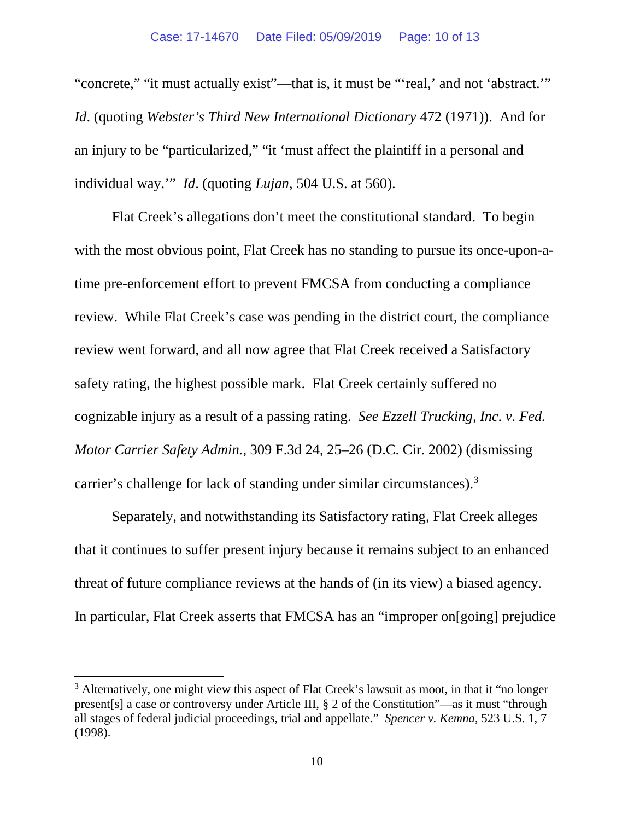"concrete," "it must actually exist"—that is, it must be "'real,' and not 'abstract.'" *Id*. (quoting *Webster's Third New International Dictionary* 472 (1971)). And for an injury to be "particularized," "it 'must affect the plaintiff in a personal and individual way.'" *Id*. (quoting *Lujan*, 504 U.S. at 560).

Flat Creek's allegations don't meet the constitutional standard. To begin with the most obvious point, Flat Creek has no standing to pursue its once-upon-atime pre-enforcement effort to prevent FMCSA from conducting a compliance review. While Flat Creek's case was pending in the district court, the compliance review went forward, and all now agree that Flat Creek received a Satisfactory safety rating, the highest possible mark. Flat Creek certainly suffered no cognizable injury as a result of a passing rating. *See Ezzell Trucking, Inc. v. Fed. Motor Carrier Safety Admin.*, 309 F.3d 24, 25–26 (D.C. Cir. 2002) (dismissing carrier's challenge for lack of standing under similar circumstances).[3](#page-9-0)

Separately, and notwithstanding its Satisfactory rating, Flat Creek alleges that it continues to suffer present injury because it remains subject to an enhanced threat of future compliance reviews at the hands of (in its view) a biased agency. In particular, Flat Creek asserts that FMCSA has an "improper on[going] prejudice

<span id="page-9-0"></span><sup>&</sup>lt;sup>3</sup> Alternatively, one might view this aspect of Flat Creek's lawsuit as moot, in that it "no longer present[s] a case or controversy under Article III, § 2 of the Constitution"—as it must "through all stages of federal judicial proceedings, trial and appellate." *Spencer v. Kemna*, 523 U.S. 1, 7 (1998).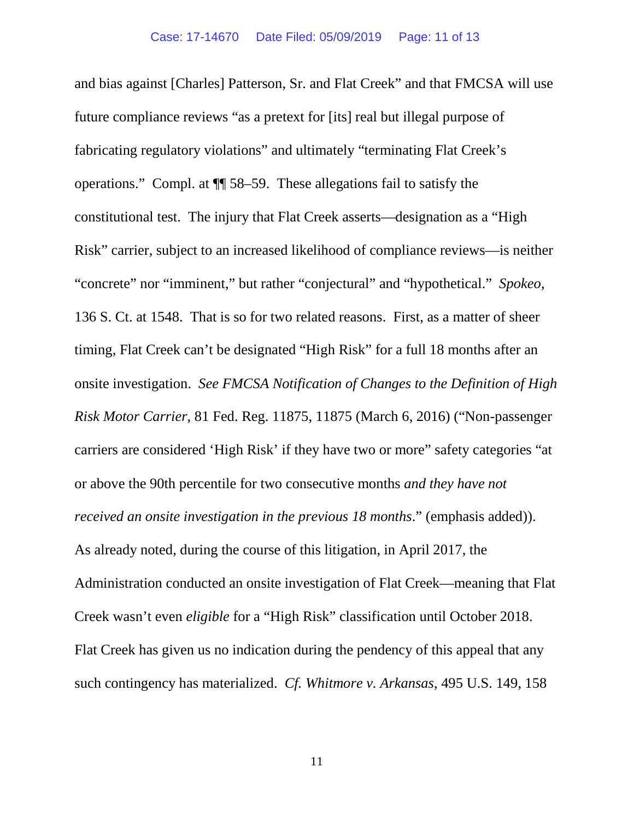and bias against [Charles] Patterson, Sr. and Flat Creek" and that FMCSA will use future compliance reviews "as a pretext for [its] real but illegal purpose of fabricating regulatory violations" and ultimately "terminating Flat Creek's operations." Compl. at ¶¶ 58–59. These allegations fail to satisfy the constitutional test. The injury that Flat Creek asserts—designation as a "High Risk" carrier, subject to an increased likelihood of compliance reviews—is neither "concrete" nor "imminent," but rather "conjectural" and "hypothetical." *Spokeo*, 136 S. Ct. at 1548. That is so for two related reasons. First, as a matter of sheer timing, Flat Creek can't be designated "High Risk" for a full 18 months after an onsite investigation. *See FMCSA Notification of Changes to the Definition of High Risk Motor Carrier*, 81 Fed. Reg. 11875, 11875 (March 6, 2016) ("Non-passenger carriers are considered 'High Risk' if they have two or more" safety categories "at or above the 90th percentile for two consecutive months *and they have not received an onsite investigation in the previous 18 months*." (emphasis added)). As already noted, during the course of this litigation, in April 2017, the Administration conducted an onsite investigation of Flat Creek—meaning that Flat Creek wasn't even *eligible* for a "High Risk" classification until October 2018. Flat Creek has given us no indication during the pendency of this appeal that any such contingency has materialized. *Cf. Whitmore v. Arkansas*, 495 U.S. 149, 158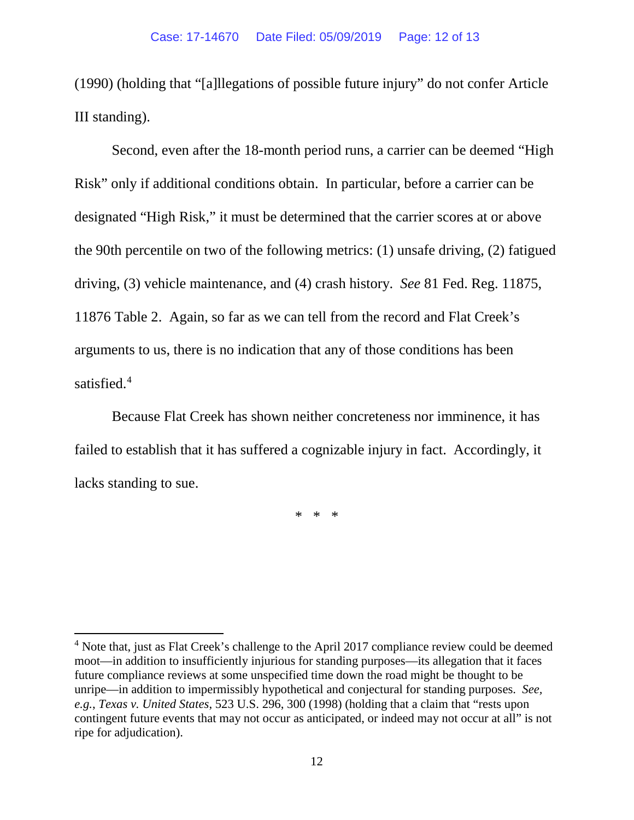(1990) (holding that "[a]llegations of possible future injury" do not confer Article III standing).

Second, even after the 18-month period runs, a carrier can be deemed "High Risk" only if additional conditions obtain. In particular, before a carrier can be designated "High Risk," it must be determined that the carrier scores at or above the 90th percentile on two of the following metrics: (1) unsafe driving, (2) fatigued driving, (3) vehicle maintenance, and (4) crash history. *See* 81 Fed. Reg. 11875, 11876 Table 2. Again, so far as we can tell from the record and Flat Creek's arguments to us, there is no indication that any of those conditions has been satisfied.<sup>[4](#page-11-0)</sup>

Because Flat Creek has shown neither concreteness nor imminence, it has failed to establish that it has suffered a cognizable injury in fact. Accordingly, it lacks standing to sue.

\* \* \*

<span id="page-11-0"></span><sup>&</sup>lt;sup>4</sup> Note that, just as Flat Creek's challenge to the April 2017 compliance review could be deemed moot—in addition to insufficiently injurious for standing purposes—its allegation that it faces future compliance reviews at some unspecified time down the road might be thought to be unripe—in addition to impermissibly hypothetical and conjectural for standing purposes. *See, e.g.*, *Texas v. United States*, 523 U.S. 296, 300 (1998) (holding that a claim that "rests upon contingent future events that may not occur as anticipated, or indeed may not occur at all" is not ripe for adjudication).